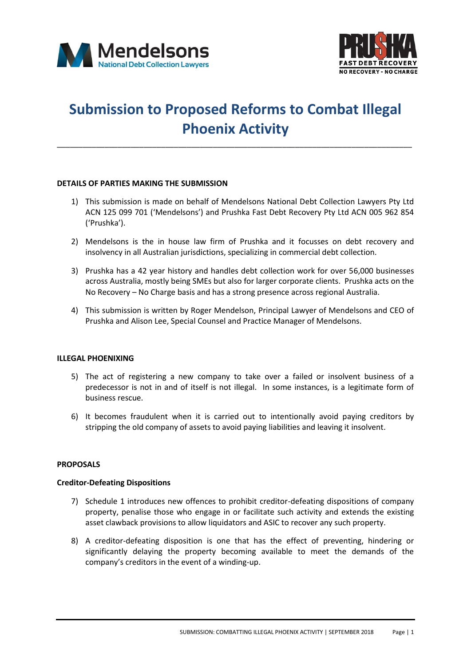



# **Submission to Proposed Reforms to Combat Illegal Phoenix Activity**

\_\_\_\_\_\_\_\_\_\_\_\_\_\_\_\_\_\_\_\_\_\_\_\_\_\_\_\_\_\_\_\_\_\_\_\_\_\_\_\_\_\_\_\_\_\_\_\_\_\_\_\_\_\_\_\_\_\_\_\_\_\_\_\_\_\_\_\_\_\_\_\_\_\_\_\_\_\_\_\_\_\_

# **DETAILS OF PARTIES MAKING THE SUBMISSION**

- 1) This submission is made on behalf of Mendelsons National Debt Collection Lawyers Pty Ltd ACN 125 099 701 ('Mendelsons') and Prushka Fast Debt Recovery Pty Ltd ACN 005 962 854 ('Prushka').
- 2) Mendelsons is the in house law firm of Prushka and it focusses on debt recovery and insolvency in all Australian jurisdictions, specializing in commercial debt collection.
- 3) Prushka has a 42 year history and handles debt collection work for over 56,000 businesses across Australia, mostly being SMEs but also for larger corporate clients. Prushka acts on the No Recovery – No Charge basis and has a strong presence across regional Australia.
- 4) This submission is written by Roger Mendelson, Principal Lawyer of Mendelsons and CEO of Prushka and Alison Lee, Special Counsel and Practice Manager of Mendelsons.

#### **ILLEGAL PHOENIXING**

- 5) The act of registering a new company to take over a failed or insolvent business of a predecessor is not in and of itself is not illegal. In some instances, is a legitimate form of business rescue.
- 6) It becomes fraudulent when it is carried out to intentionally avoid paying creditors by stripping the old company of assets to avoid paying liabilities and leaving it insolvent.

#### **PROPOSALS**

#### **Creditor-Defeating Dispositions**

- 7) Schedule 1 introduces new offences to prohibit creditor-defeating dispositions of company property, penalise those who engage in or facilitate such activity and extends the existing asset clawback provisions to allow liquidators and ASIC to recover any such property.
- 8) A creditor-defeating disposition is one that has the effect of preventing, hindering or significantly delaying the property becoming available to meet the demands of the company's creditors in the event of a winding-up.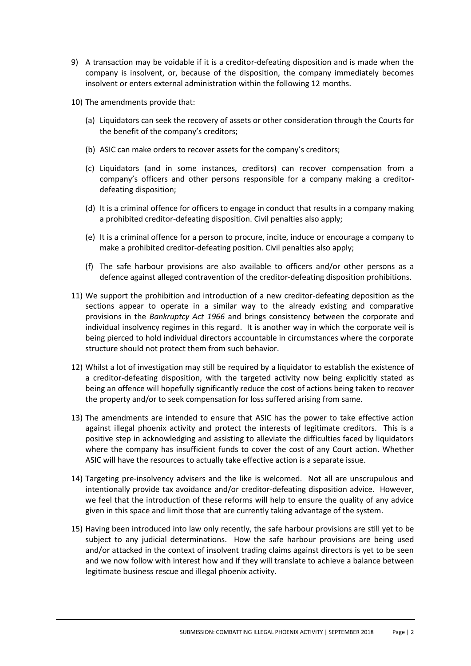- 9) A transaction may be voidable if it is a creditor-defeating disposition and is made when the company is insolvent, or, because of the disposition, the company immediately becomes insolvent or enters external administration within the following 12 months.
- 10) The amendments provide that:
	- (a) Liquidators can seek the recovery of assets or other consideration through the Courts for the benefit of the company's creditors;
	- (b) ASIC can make orders to recover assets for the company's creditors;
	- (c) Liquidators (and in some instances, creditors) can recover compensation from a company's officers and other persons responsible for a company making a creditordefeating disposition;
	- (d) It is a criminal offence for officers to engage in conduct that results in a company making a prohibited creditor-defeating disposition. Civil penalties also apply;
	- (e) It is a criminal offence for a person to procure, incite, induce or encourage a company to make a prohibited creditor-defeating position. Civil penalties also apply;
	- (f) The safe harbour provisions are also available to officers and/or other persons as a defence against alleged contravention of the creditor-defeating disposition prohibitions.
- 11) We support the prohibition and introduction of a new creditor-defeating deposition as the sections appear to operate in a similar way to the already existing and comparative provisions in the *Bankruptcy Act 1966* and brings consistency between the corporate and individual insolvency regimes in this regard. It is another way in which the corporate veil is being pierced to hold individual directors accountable in circumstances where the corporate structure should not protect them from such behavior.
- 12) Whilst a lot of investigation may still be required by a liquidator to establish the existence of a creditor-defeating disposition, with the targeted activity now being explicitly stated as being an offence will hopefully significantly reduce the cost of actions being taken to recover the property and/or to seek compensation for loss suffered arising from same.
- 13) The amendments are intended to ensure that ASIC has the power to take effective action against illegal phoenix activity and protect the interests of legitimate creditors. This is a positive step in acknowledging and assisting to alleviate the difficulties faced by liquidators where the company has insufficient funds to cover the cost of any Court action. Whether ASIC will have the resources to actually take effective action is a separate issue.
- 14) Targeting pre-insolvency advisers and the like is welcomed. Not all are unscrupulous and intentionally provide tax avoidance and/or creditor-defeating disposition advice. However, we feel that the introduction of these reforms will help to ensure the quality of any advice given in this space and limit those that are currently taking advantage of the system.
- 15) Having been introduced into law only recently, the safe harbour provisions are still yet to be subject to any judicial determinations. How the safe harbour provisions are being used and/or attacked in the context of insolvent trading claims against directors is yet to be seen and we now follow with interest how and if they will translate to achieve a balance between legitimate business rescue and illegal phoenix activity.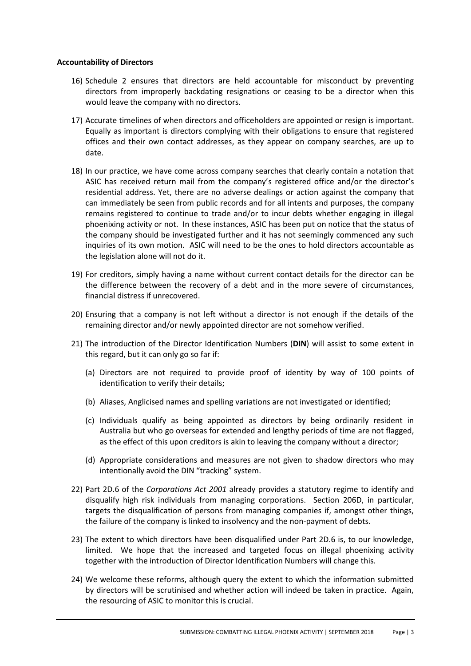# **Accountability of Directors**

- 16) Schedule 2 ensures that directors are held accountable for misconduct by preventing directors from improperly backdating resignations or ceasing to be a director when this would leave the company with no directors.
- 17) Accurate timelines of when directors and officeholders are appointed or resign is important. Equally as important is directors complying with their obligations to ensure that registered offices and their own contact addresses, as they appear on company searches, are up to date.
- 18) In our practice, we have come across company searches that clearly contain a notation that ASIC has received return mail from the company's registered office and/or the director's residential address. Yet, there are no adverse dealings or action against the company that can immediately be seen from public records and for all intents and purposes, the company remains registered to continue to trade and/or to incur debts whether engaging in illegal phoenixing activity or not. In these instances, ASIC has been put on notice that the status of the company should be investigated further and it has not seemingly commenced any such inquiries of its own motion. ASIC will need to be the ones to hold directors accountable as the legislation alone will not do it.
- 19) For creditors, simply having a name without current contact details for the director can be the difference between the recovery of a debt and in the more severe of circumstances, financial distress if unrecovered.
- 20) Ensuring that a company is not left without a director is not enough if the details of the remaining director and/or newly appointed director are not somehow verified.
- 21) The introduction of the Director Identification Numbers (**DIN**) will assist to some extent in this regard, but it can only go so far if:
	- (a) Directors are not required to provide proof of identity by way of 100 points of identification to verify their details;
	- (b) Aliases, Anglicised names and spelling variations are not investigated or identified;
	- (c) Individuals qualify as being appointed as directors by being ordinarily resident in Australia but who go overseas for extended and lengthy periods of time are not flagged, as the effect of this upon creditors is akin to leaving the company without a director;
	- (d) Appropriate considerations and measures are not given to shadow directors who may intentionally avoid the DIN "tracking" system.
- 22) Part 2D.6 of the *Corporations Act 2001* already provides a statutory regime to identify and disqualify high risk individuals from managing corporations. Section 206D, in particular, targets the disqualification of persons from managing companies if, amongst other things, the failure of the company is linked to insolvency and the non-payment of debts.
- 23) The extent to which directors have been disqualified under Part 2D.6 is, to our knowledge, limited. We hope that the increased and targeted focus on illegal phoenixing activity together with the introduction of Director Identification Numbers will change this.
- 24) We welcome these reforms, although query the extent to which the information submitted by directors will be scrutinised and whether action will indeed be taken in practice. Again, the resourcing of ASIC to monitor this is crucial.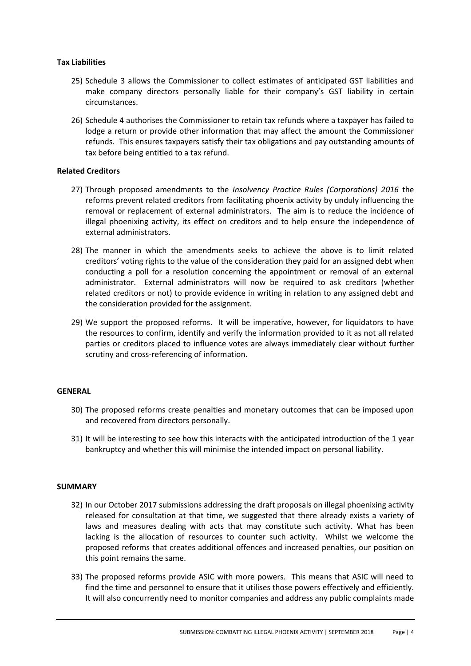# **Tax Liabilities**

- 25) Schedule 3 allows the Commissioner to collect estimates of anticipated GST liabilities and make company directors personally liable for their company's GST liability in certain circumstances.
- 26) Schedule 4 authorises the Commissioner to retain tax refunds where a taxpayer has failed to lodge a return or provide other information that may affect the amount the Commissioner refunds. This ensures taxpayers satisfy their tax obligations and pay outstanding amounts of tax before being entitled to a tax refund.

# **Related Creditors**

- 27) Through proposed amendments to the *Insolvency Practice Rules (Corporations) 2016* the reforms prevent related creditors from facilitating phoenix activity by unduly influencing the removal or replacement of external administrators. The aim is to reduce the incidence of illegal phoenixing activity, its effect on creditors and to help ensure the independence of external administrators.
- 28) The manner in which the amendments seeks to achieve the above is to limit related creditors' voting rights to the value of the consideration they paid for an assigned debt when conducting a poll for a resolution concerning the appointment or removal of an external administrator. External administrators will now be required to ask creditors (whether related creditors or not) to provide evidence in writing in relation to any assigned debt and the consideration provided for the assignment.
- 29) We support the proposed reforms. It will be imperative, however, for liquidators to have the resources to confirm, identify and verify the information provided to it as not all related parties or creditors placed to influence votes are always immediately clear without further scrutiny and cross-referencing of information.

#### **GENERAL**

- 30) The proposed reforms create penalties and monetary outcomes that can be imposed upon and recovered from directors personally.
- 31) It will be interesting to see how this interacts with the anticipated introduction of the 1 year bankruptcy and whether this will minimise the intended impact on personal liability.

#### **SUMMARY**

- 32) In our October 2017 submissions addressing the draft proposals on illegal phoenixing activity released for consultation at that time, we suggested that there already exists a variety of laws and measures dealing with acts that may constitute such activity. What has been lacking is the allocation of resources to counter such activity. Whilst we welcome the proposed reforms that creates additional offences and increased penalties, our position on this point remains the same.
- 33) The proposed reforms provide ASIC with more powers. This means that ASIC will need to find the time and personnel to ensure that it utilises those powers effectively and efficiently. It will also concurrently need to monitor companies and address any public complaints made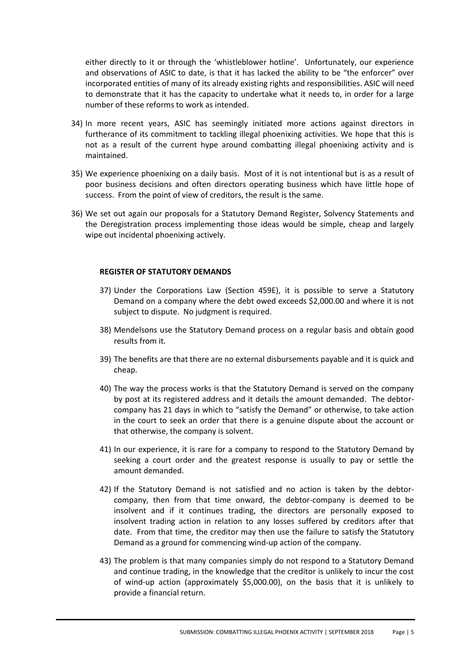either directly to it or through the 'whistleblower hotline'. Unfortunately, our experience and observations of ASIC to date, is that it has lacked the ability to be "the enforcer" over incorporated entities of many of its already existing rights and responsibilities. ASIC will need to demonstrate that it has the capacity to undertake what it needs to, in order for a large number of these reforms to work as intended.

- 34) In more recent years, ASIC has seemingly initiated more actions against directors in furtherance of its commitment to tackling illegal phoenixing activities. We hope that this is not as a result of the current hype around combatting illegal phoenixing activity and is maintained.
- 35) We experience phoenixing on a daily basis. Most of it is not intentional but is as a result of poor business decisions and often directors operating business which have little hope of success. From the point of view of creditors, the result is the same.
- 36) We set out again our proposals for a Statutory Demand Register, Solvency Statements and the Deregistration process implementing those ideas would be simple, cheap and largely wipe out incidental phoenixing actively.

# **REGISTER OF STATUTORY DEMANDS**

- 37) Under the Corporations Law (Section 459E), it is possible to serve a Statutory Demand on a company where the debt owed exceeds \$2,000.00 and where it is not subject to dispute. No judgment is required.
- 38) Mendelsons use the Statutory Demand process on a regular basis and obtain good results from it.
- 39) The benefits are that there are no external disbursements payable and it is quick and cheap.
- 40) The way the process works is that the Statutory Demand is served on the company by post at its registered address and it details the amount demanded. The debtorcompany has 21 days in which to "satisfy the Demand" or otherwise, to take action in the court to seek an order that there is a genuine dispute about the account or that otherwise, the company is solvent.
- 41) In our experience, it is rare for a company to respond to the Statutory Demand by seeking a court order and the greatest response is usually to pay or settle the amount demanded.
- 42) If the Statutory Demand is not satisfied and no action is taken by the debtorcompany, then from that time onward, the debtor-company is deemed to be insolvent and if it continues trading, the directors are personally exposed to insolvent trading action in relation to any losses suffered by creditors after that date. From that time, the creditor may then use the failure to satisfy the Statutory Demand as a ground for commencing wind-up action of the company.
- 43) The problem is that many companies simply do not respond to a Statutory Demand and continue trading, in the knowledge that the creditor is unlikely to incur the cost of wind-up action (approximately \$5,000.00), on the basis that it is unlikely to provide a financial return.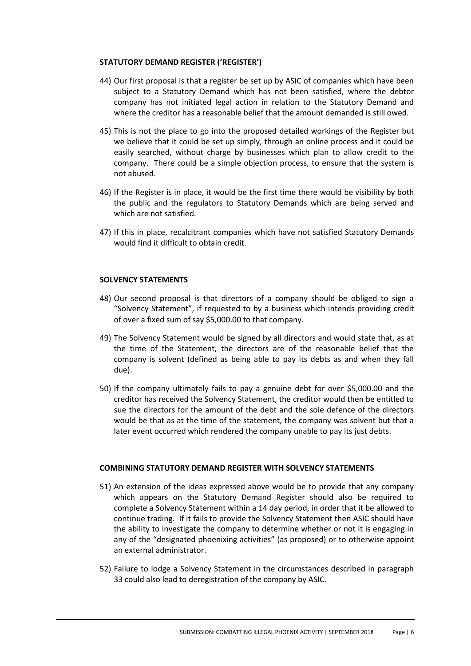### **STATUTORY DEMAND REGISTER ('REGISTER')**

- 44) Our first proposal is that a register be set up by ASIC of companies which have been subject to a Statutory Demand which has not been satisfied, where the debtor company has not initiated legal action in relation to the Statutory Demand and where the creditor has a reasonable belief that the amount demanded is still owed.
- 45) This is not the place to go into the proposed detailed workings of the Register but we believe that it could be set up simply, through an online process and it could be easily searched, without charge by businesses which plan to allow credit to the company. There could be a simple objection process, to ensure that the system is not abused.
- 46) If the Register is in place, it would be the first time there would be visibility by both the public and the regulators to Statutory Demands which are being served and which are not satisfied.
- 47) If this in place, recalcitrant companies which have not satisfied Statutory Demands would find it difficult to obtain credit.

# **SOLVENCY STATEMENTS**

- 48) Our second proposal is that directors of a company should be obliged to sign a "Solvency Statement", if requested to by a business which intends providing credit of over a fixed sum of say \$5,000.00 to that company.
- 49) The Solvency Statement would be signed by all directors and would state that, as at the time of the Statement, the directors are of the reasonable belief that the company is solvent (defined as being able to pay its debts as and when they fall due).
- 50) If the company ultimately fails to pay a genuine debt for over \$5,000.00 and the creditor has received the Solvency Statement, the creditor would then be entitled to sue the directors for the amount of the debt and the sole defence of the directors would be that as at the time of the statement, the company was solvent but that a later event occurred which rendered the company unable to pay its just debts.

# **COMBINING STATUTORY DEMAND REGISTER WITH SOLVENCY STATEMENTS**

- 51) An extension of the ideas expressed above would be to provide that any company which appears on the Statutory Demand Register should also be required to complete a Solvency Statement within a 14 day period, in order that it be allowed to continue trading. If it fails to provide the Solvency Statement then ASIC should have the ability to investigate the company to determine whether or not it is engaging in any of the "designated phoenixing activities" (as proposed) or to otherwise appoint an external administrator.
- 52) Failure to lodge a Solvency Statement in the circumstances described in paragraph 33 could also lead to deregistration of the company by ASIC.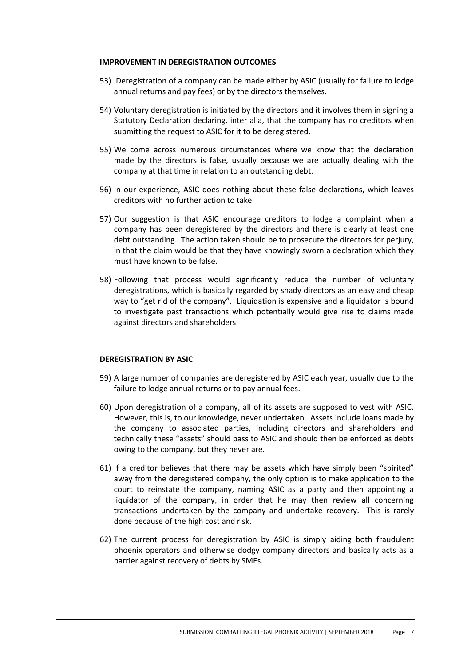#### **IMPROVEMENT IN DEREGISTRATION OUTCOMES**

- 53) Deregistration of a company can be made either by ASIC (usually for failure to lodge annual returns and pay fees) or by the directors themselves.
- 54) Voluntary deregistration is initiated by the directors and it involves them in signing a Statutory Declaration declaring, inter alia, that the company has no creditors when submitting the request to ASIC for it to be deregistered.
- 55) We come across numerous circumstances where we know that the declaration made by the directors is false, usually because we are actually dealing with the company at that time in relation to an outstanding debt.
- 56) In our experience, ASIC does nothing about these false declarations, which leaves creditors with no further action to take.
- 57) Our suggestion is that ASIC encourage creditors to lodge a complaint when a company has been deregistered by the directors and there is clearly at least one debt outstanding. The action taken should be to prosecute the directors for perjury, in that the claim would be that they have knowingly sworn a declaration which they must have known to be false.
- 58) Following that process would significantly reduce the number of voluntary deregistrations, which is basically regarded by shady directors as an easy and cheap way to "get rid of the company". Liquidation is expensive and a liquidator is bound to investigate past transactions which potentially would give rise to claims made against directors and shareholders.

### **DEREGISTRATION BY ASIC**

- 59) A large number of companies are deregistered by ASIC each year, usually due to the failure to lodge annual returns or to pay annual fees.
- 60) Upon deregistration of a company, all of its assets are supposed to vest with ASIC. However, this is, to our knowledge, never undertaken. Assets include loans made by the company to associated parties, including directors and shareholders and technically these "assets" should pass to ASIC and should then be enforced as debts owing to the company, but they never are.
- 61) If a creditor believes that there may be assets which have simply been "spirited" away from the deregistered company, the only option is to make application to the court to reinstate the company, naming ASIC as a party and then appointing a liquidator of the company, in order that he may then review all concerning transactions undertaken by the company and undertake recovery. This is rarely done because of the high cost and risk.
- 62) The current process for deregistration by ASIC is simply aiding both fraudulent phoenix operators and otherwise dodgy company directors and basically acts as a barrier against recovery of debts by SMEs.